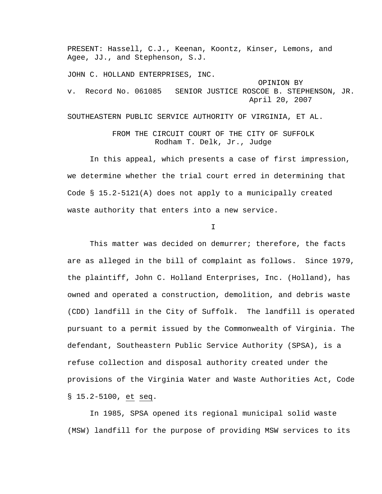PRESENT: Hassell, C.J., Keenan, Koontz, Kinser, Lemons, and Agee, JJ., and Stephenson, S.J. JOHN C. HOLLAND ENTERPRISES, INC. OPINION BY v. Record No. 061085 SENIOR JUSTICE ROSCOE B. STEPHENSON, JR. April 20, 2007 SOUTHEASTERN PUBLIC SERVICE AUTHORITY OF VIRGINIA, ET AL.

## FROM THE CIRCUIT COURT OF THE CITY OF SUFFOLK Rodham T. Delk, Jr., Judge

 In this appeal, which presents a case of first impression, we determine whether the trial court erred in determining that Code § 15.2-5121(A) does not apply to a municipally created waste authority that enters into a new service.

I

This matter was decided on demurrer; therefore, the facts are as alleged in the bill of complaint as follows. Since 1979, the plaintiff, John C. Holland Enterprises, Inc. (Holland), has owned and operated a construction, demolition, and debris waste (CDD) landfill in the City of Suffolk. The landfill is operated pursuant to a permit issued by the Commonwealth of Virginia. The defendant, Southeastern Public Service Authority (SPSA), is a refuse collection and disposal authority created under the provisions of the Virginia Water and Waste Authorities Act, Code § 15.2-5100, et seq.

 In 1985, SPSA opened its regional municipal solid waste (MSW) landfill for the purpose of providing MSW services to its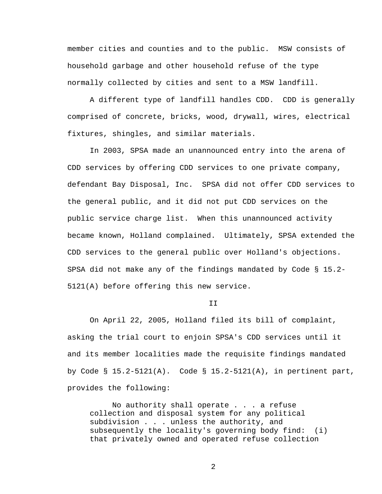member cities and counties and to the public. MSW consists of household garbage and other household refuse of the type normally collected by cities and sent to a MSW landfill.

 A different type of landfill handles CDD. CDD is generally comprised of concrete, bricks, wood, drywall, wires, electrical fixtures, shingles, and similar materials.

 In 2003, SPSA made an unannounced entry into the arena of CDD services by offering CDD services to one private company, defendant Bay Disposal, Inc. SPSA did not offer CDD services to the general public, and it did not put CDD services on the public service charge list. When this unannounced activity became known, Holland complained. Ultimately, SPSA extended the CDD services to the general public over Holland's objections. SPSA did not make any of the findings mandated by Code § 15.2- 5121(A) before offering this new service.

## T<sub>T</sub>

 On April 22, 2005, Holland filed its bill of complaint, asking the trial court to enjoin SPSA's CDD services until it and its member localities made the requisite findings mandated by Code § 15.2-5121(A). Code § 15.2-5121(A), in pertinent part, provides the following:

 No authority shall operate . . . a refuse collection and disposal system for any political subdivision . . . unless the authority, and subsequently the locality's governing body find: (i) that privately owned and operated refuse collection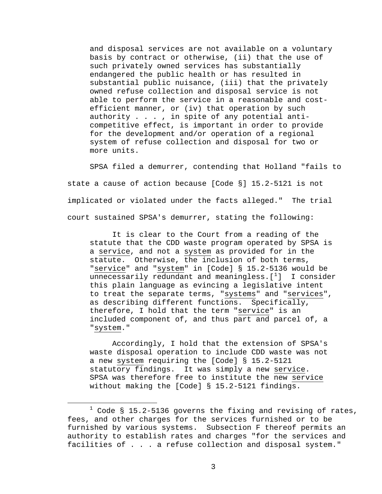and disposal services are not available on a voluntary basis by contract or otherwise, (ii) that the use of such privately owned services has substantially endangered the public health or has resulted in substantial public nuisance, (iii) that the privately owned refuse collection and disposal service is not able to perform the service in a reasonable and costefficient manner, or (iv) that operation by such authority . . . , in spite of any potential anticompetitive effect, is important in order to provide for the development and/or operation of a regional system of refuse collection and disposal for two or more units.

 SPSA filed a demurrer, contending that Holland "fails to state a cause of action because [Code §] 15.2-5121 is not implicated or violated under the facts alleged." The trial court sustained SPSA's demurrer, stating the following:

 It is clear to the Court from a reading of the statute that the CDD waste program operated by SPSA is a service, and not a system as provided for in the statute. Otherwise, the inclusion of both terms, "service" and "system" in [Code] § 15.2-5136 would be unnecessarily redundant and meaningless. $[\ ]$  I consider this plain language as evincing a legislative intent to treat the separate terms, "systems" and "services", as describing different functions. Specifically, therefore, I hold that the term "service" is an included component of, and thus part and parcel of, a "system."

 Accordingly, I hold that the extension of SPSA's waste disposal operation to include CDD waste was not a new system requiring the [Code] § 15.2-5121 statutory findings. It was simply a new service. SPSA was therefore free to institute the new service without making the [Code] § 15.2-5121 findings.

<span id="page-2-0"></span> $\overline{\phantom{a}}$  $1$  Code § 15.2-5136 governs the fixing and revising of rates, fees, and other charges for the services furnished or to be furnished by various systems. Subsection F thereof permits an authority to establish rates and charges "for the services and facilities of . . . a refuse collection and disposal system."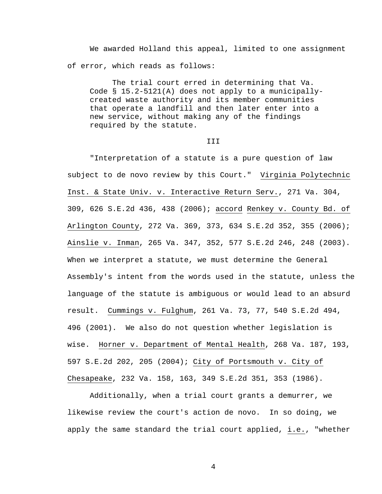We awarded Holland this appeal, limited to one assignment of error, which reads as follows:

 The trial court erred in determining that Va. Code § 15.2-5121(A) does not apply to a municipallycreated waste authority and its member communities that operate a landfill and then later enter into a new service, without making any of the findings required by the statute.

## III

 "Interpretation of a statute is a pure question of law subject to de novo review by this Court." Virginia Polytechnic Inst. & State Univ. v. Interactive Return Serv., 271 Va. 304, 309, 626 S.E.2d 436, 438 (2006); accord Renkey v. County Bd. of Arlington County, 272 Va. 369, 373, 634 S.E.2d 352, 355 (2006); Ainslie v. Inman, 265 Va. 347, 352, 577 S.E.2d 246, 248 (2003). When we interpret a statute, we must determine the General Assembly's intent from the words used in the statute, unless the language of the statute is ambiguous or would lead to an absurd result. Cummings v. Fulghum, 261 Va. 73, 77, 540 S.E.2d 494, 496 (2001). We also do not question whether legislation is wise. Horner v. Department of Mental Health, 268 Va. 187, 193, 597 S.E.2d 202, 205 (2004); City of Portsmouth v. City of Chesapeake, 232 Va. 158, 163, 349 S.E.2d 351, 353 (1986).

 Additionally, when a trial court grants a demurrer, we likewise review the court's action de novo. In so doing, we apply the same standard the trial court applied, i.e., "whether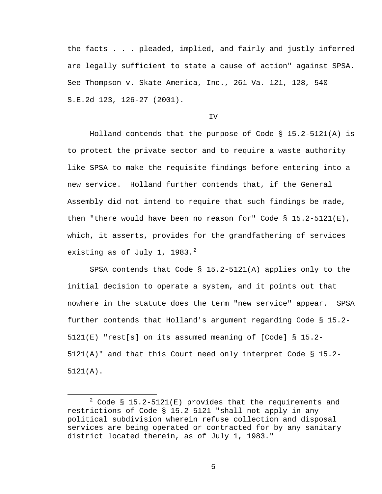the facts . . . pleaded, implied, and fairly and justly inferred are legally sufficient to state a cause of action" against SPSA. See Thompson v. Skate America, Inc., 261 Va. 121, 128, 540 S.E.2d 123, 126-27 (2001).

## IV

 Holland contends that the purpose of Code § 15.2-5121(A) is to protect the private sector and to require a waste authority like SPSA to make the requisite findings before entering into a new service. Holland further contends that, if the General Assembly did not intend to require that such findings be made, then "there would have been no reason for" Code  $\S$  15.2-5121(E), which, it asserts, provides for the grandfathering of services existing as of July 1, 1983. $^2$  $^2$ 

 SPSA contends that Code § 15.2-5121(A) applies only to the initial decision to operate a system, and it points out that nowhere in the statute does the term "new service" appear. SPSA further contends that Holland's argument regarding Code § 15.2- 5121(E) "rest[s] on its assumed meaning of [Code] § 15.2-  $5121(A)$ " and that this Court need only interpret Code § 15.2-5121(A).

<span id="page-4-0"></span> <sup>2</sup>  $2^2$  Code § 15.2-5121(E) provides that the requirements and restrictions of Code § 15.2-5121 "shall not apply in any political subdivision wherein refuse collection and disposal services are being operated or contracted for by any sanitary district located therein, as of July 1, 1983."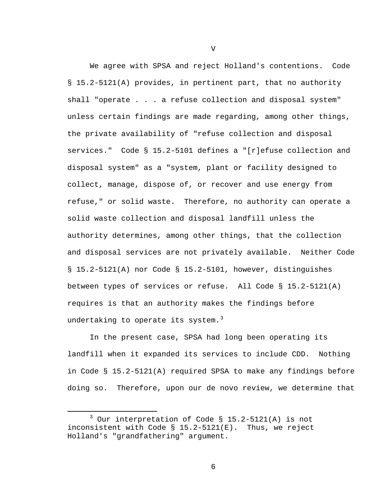We agree with SPSA and reject Holland's contentions. Code § 15.2-5121(A) provides, in pertinent part, that no authority shall "operate . . . a refuse collection and disposal system" unless certain findings are made regarding, among other things, the private availability of "refuse collection and disposal services." Code § 15.2-5101 defines a "[r]efuse collection and disposal system" as a "system, plant or facility designed to collect, manage, dispose of, or recover and use energy from refuse," or solid waste. Therefore, no authority can operate a solid waste collection and disposal landfill unless the authority determines, among other things, that the collection and disposal services are not privately available. Neither Code § 15.2-5121(A) nor Code § 15.2-5101, however, distinguishes between types of services or refuse. All Code § 15.2-5121(A) requires is that an authority makes the findings before undertaking to operate its system. $3$ 

 In the present case, SPSA had long been operating its landfill when it expanded its services to include CDD. Nothing in Code § 15.2-5121(A) required SPSA to make any findings before doing so. Therefore, upon our de novo review, we determine that

V

<span id="page-5-0"></span> $\overline{\phantom{a}}$  3  $3$  Our interpretation of Code § 15.2-5121(A) is not inconsistent with Code § 15.2-5121(E). Thus, we reject Holland's "grandfathering" argument.